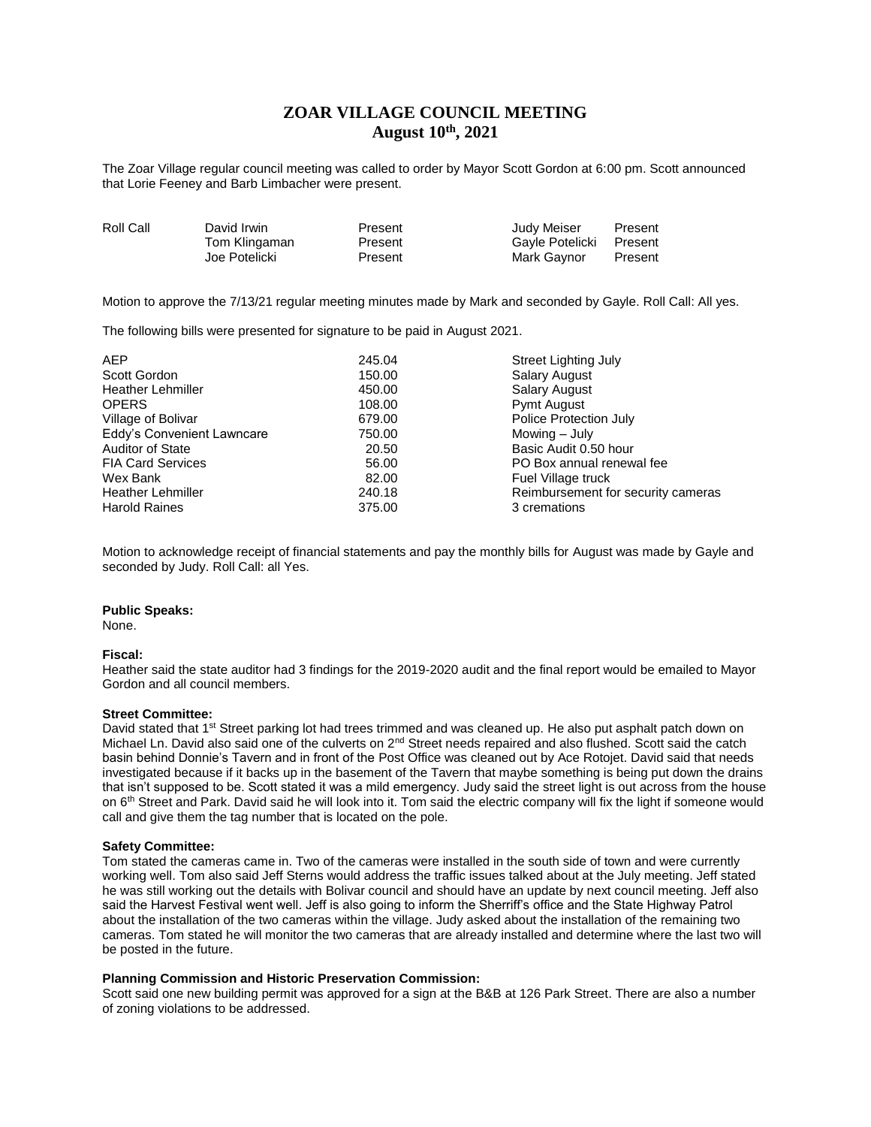## **ZOAR VILLAGE COUNCIL MEETING August 10th, 2021**

The Zoar Village regular council meeting was called to order by Mayor Scott Gordon at 6:00 pm. Scott announced that Lorie Feeney and Barb Limbacher were present.

| Roll Call | David Irwin   | Present | Judy Meiser     | Present |
|-----------|---------------|---------|-----------------|---------|
|           | Tom Klingaman | Present | Gayle Potelicki | Present |
|           | Joe Potelicki | Present | Mark Gaynor     | Present |

Motion to approve the 7/13/21 regular meeting minutes made by Mark and seconded by Gayle. Roll Call: All yes.

The following bills were presented for signature to be paid in August 2021.

| <b>AEP</b>                 | 245.04 | <b>Street Lighting July</b>        |
|----------------------------|--------|------------------------------------|
| Scott Gordon               | 150.00 | <b>Salary August</b>               |
| <b>Heather Lehmiller</b>   | 450.00 | <b>Salary August</b>               |
| <b>OPERS</b>               | 108.00 | Pymt August                        |
| Village of Bolivar         | 679.00 | Police Protection July             |
| Eddy's Convenient Lawncare | 750.00 | Mowing $-$ July                    |
| <b>Auditor of State</b>    | 20.50  | Basic Audit 0.50 hour              |
| <b>FIA Card Services</b>   | 56.00  | PO Box annual renewal fee          |
| Wex Bank                   | 82.00  | Fuel Village truck                 |
| <b>Heather Lehmiller</b>   | 240.18 | Reimbursement for security cameras |
| <b>Harold Raines</b>       | 375.00 | 3 cremations                       |

Motion to acknowledge receipt of financial statements and pay the monthly bills for August was made by Gayle and seconded by Judy. Roll Call: all Yes.

### **Public Speaks:**

None.

### **Fiscal:**

Heather said the state auditor had 3 findings for the 2019-2020 audit and the final report would be emailed to Mayor Gordon and all council members.

### **Street Committee:**

David stated that 1<sup>st</sup> Street parking lot had trees trimmed and was cleaned up. He also put asphalt patch down on Michael Ln. David also said one of the culverts on 2<sup>nd</sup> Street needs repaired and also flushed. Scott said the catch basin behind Donnie's Tavern and in front of the Post Office was cleaned out by Ace Rotojet. David said that needs investigated because if it backs up in the basement of the Tavern that maybe something is being put down the drains that isn't supposed to be. Scott stated it was a mild emergency. Judy said the street light is out across from the house on 6<sup>th</sup> Street and Park. David said he will look into it. Tom said the electric company will fix the light if someone would call and give them the tag number that is located on the pole.

### **Safety Committee:**

Tom stated the cameras came in. Two of the cameras were installed in the south side of town and were currently working well. Tom also said Jeff Sterns would address the traffic issues talked about at the July meeting. Jeff stated he was still working out the details with Bolivar council and should have an update by next council meeting. Jeff also said the Harvest Festival went well. Jeff is also going to inform the Sherriff's office and the State Highway Patrol about the installation of the two cameras within the village. Judy asked about the installation of the remaining two cameras. Tom stated he will monitor the two cameras that are already installed and determine where the last two will be posted in the future.

### **Planning Commission and Historic Preservation Commission:**

Scott said one new building permit was approved for a sign at the B&B at 126 Park Street. There are also a number of zoning violations to be addressed.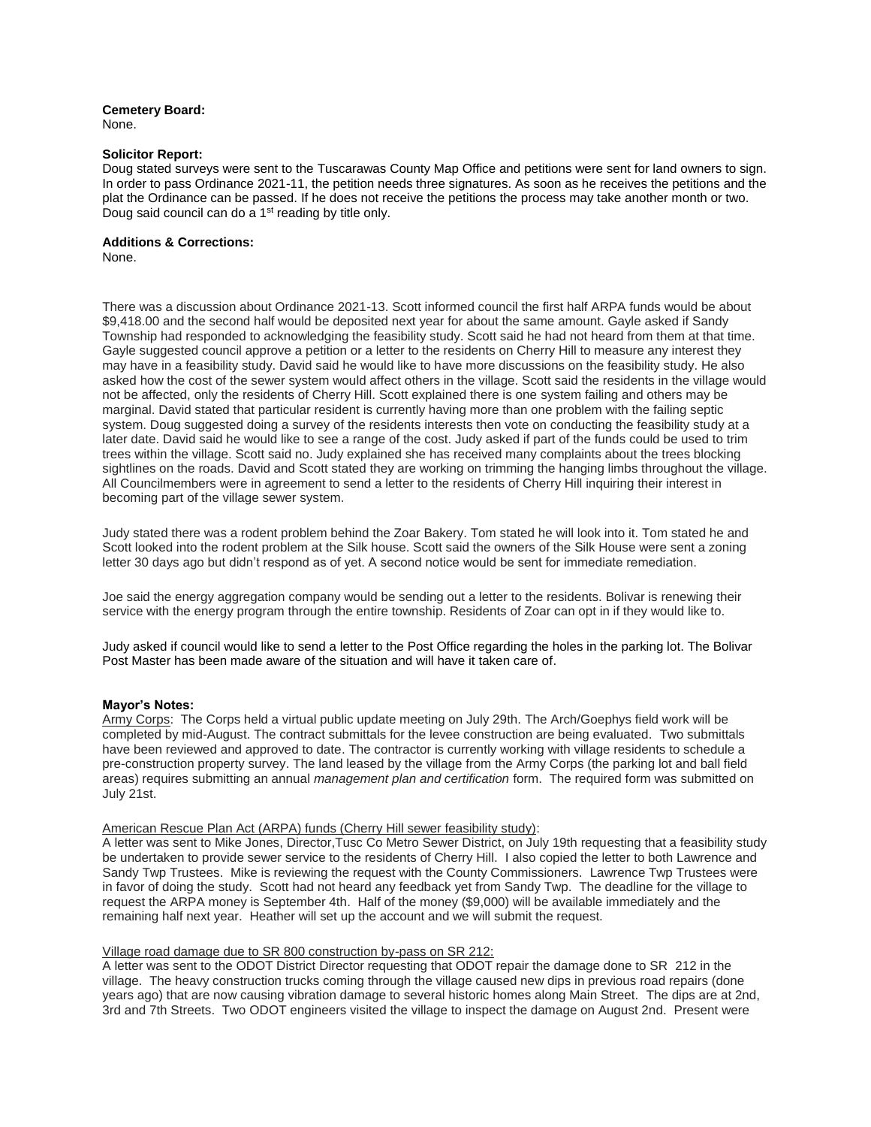# **Cemetery Board:**

None.

### **Solicitor Report:**

Doug stated surveys were sent to the Tuscarawas County Map Office and petitions were sent for land owners to sign. In order to pass Ordinance 2021-11, the petition needs three signatures. As soon as he receives the petitions and the plat the Ordinance can be passed. If he does not receive the petitions the process may take another month or two. Doug said council can do a 1<sup>st</sup> reading by title only.

### **Additions & Corrections:**

None.

There was a discussion about Ordinance 2021-13. Scott informed council the first half ARPA funds would be about \$9,418.00 and the second half would be deposited next year for about the same amount. Gayle asked if Sandy Township had responded to acknowledging the feasibility study. Scott said he had not heard from them at that time. Gayle suggested council approve a petition or a letter to the residents on Cherry Hill to measure any interest they may have in a feasibility study. David said he would like to have more discussions on the feasibility study. He also asked how the cost of the sewer system would affect others in the village. Scott said the residents in the village would not be affected, only the residents of Cherry Hill. Scott explained there is one system failing and others may be marginal. David stated that particular resident is currently having more than one problem with the failing septic system. Doug suggested doing a survey of the residents interests then vote on conducting the feasibility study at a later date. David said he would like to see a range of the cost. Judy asked if part of the funds could be used to trim trees within the village. Scott said no. Judy explained she has received many complaints about the trees blocking sightlines on the roads. David and Scott stated they are working on trimming the hanging limbs throughout the village. All Councilmembers were in agreement to send a letter to the residents of Cherry Hill inquiring their interest in becoming part of the village sewer system.

Judy stated there was a rodent problem behind the Zoar Bakery. Tom stated he will look into it. Tom stated he and Scott looked into the rodent problem at the Silk house. Scott said the owners of the Silk House were sent a zoning letter 30 days ago but didn't respond as of yet. A second notice would be sent for immediate remediation.

Joe said the energy aggregation company would be sending out a letter to the residents. Bolivar is renewing their service with the energy program through the entire township. Residents of Zoar can opt in if they would like to.

Judy asked if council would like to send a letter to the Post Office regarding the holes in the parking lot. The Bolivar Post Master has been made aware of the situation and will have it taken care of.

### **Mayor's Notes:**

Army Corps: The Corps held a virtual public update meeting on July 29th. The Arch/Goephys field work will be completed by mid-August. The contract submittals for the levee construction are being evaluated. Two submittals have been reviewed and approved to date. The contractor is currently working with village residents to schedule a pre-construction property survey. The land leased by the village from the Army Corps (the parking lot and ball field areas) requires submitting an annual *management plan and certification* form. The required form was submitted on July 21st.

### American Rescue Plan Act (ARPA) funds (Cherry Hill sewer feasibility study):

A letter was sent to Mike Jones, Director,Tusc Co Metro Sewer District, on July 19th requesting that a feasibility study be undertaken to provide sewer service to the residents of Cherry Hill. I also copied the letter to both Lawrence and Sandy Twp Trustees. Mike is reviewing the request with the County Commissioners. Lawrence Twp Trustees were in favor of doing the study. Scott had not heard any feedback yet from Sandy Twp. The deadline for the village to request the ARPA money is September 4th. Half of the money (\$9,000) will be available immediately and the remaining half next year. Heather will set up the account and we will submit the request.

### Village road damage due to SR 800 construction by-pass on SR 212:

A letter was sent to the ODOT District Director requesting that ODOT repair the damage done to SR 212 in the village. The heavy construction trucks coming through the village caused new dips in previous road repairs (done years ago) that are now causing vibration damage to several historic homes along Main Street. The dips are at 2nd, 3rd and 7th Streets. Two ODOT engineers visited the village to inspect the damage on August 2nd. Present were